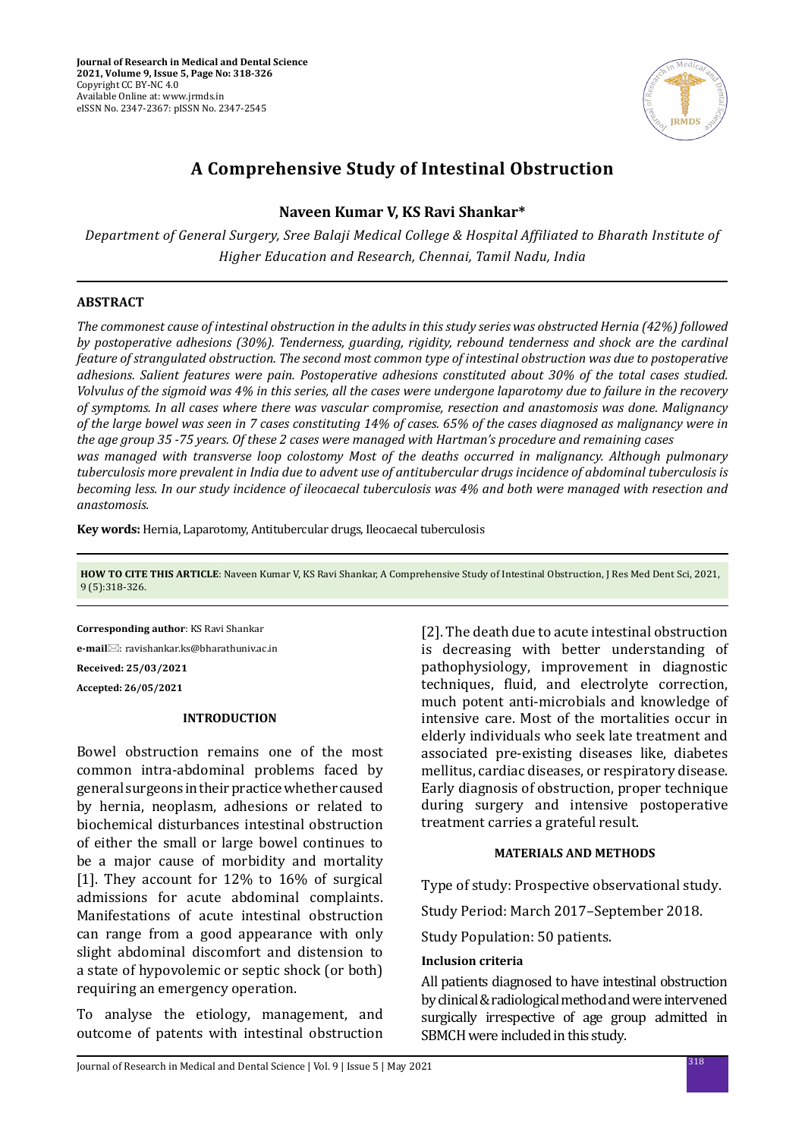

# **A Comprehensive Study of Intestinal Obstruction**

# **Naveen Kumar V, KS Ravi Shankar\***

*Department of General Surgery, Sree Balaji Medical College & Hospital Affiliated to Bharath Institute of Higher Education and Research, Chennai, Tamil Nadu, India*

# **ABSTRACT**

*The commonest cause of intestinal obstruction in the adults in this study series was obstructed Hernia (42%) followed by postoperative adhesions (30%). Tenderness, guarding, rigidity, rebound tenderness and shock are the cardinal feature of strangulated obstruction. The second most common type of intestinal obstruction was due to postoperative adhesions. Salient features were pain. Postoperative adhesions constituted about 30% of the total cases studied. Volvulus of the sigmoid was 4% in this series, all the cases were undergone laparotomy due to failure in the recovery of symptoms. In all cases where there was vascular compromise, resection and anastomosis was done. Malignancy of the large bowel was seen in 7 cases constituting 14% of cases. 65% of the cases diagnosed as malignancy were in the age group 35 -75 years. Of these 2 cases were managed with Hartman's procedure and remaining cases was managed with transverse loop colostomy Most of the deaths occurred in malignancy. Although pulmonary tuberculosis more prevalent in India due to advent use of antitubercular drugs incidence of abdominal tuberculosis is becoming less. In our study incidence of ileocaecal tuberculosis was 4% and both were managed with resection and anastomosis.*

**Key words:** Hernia, Laparotomy, Antitubercular drugs, Ileocaecal tuberculosis

**HOW TO CITE THIS ARTICLE**: Naveen Kumar V, KS Ravi Shankar, A Comprehensive Study of Intestinal Obstruction, J Res Med Dent Sci, 2021, 9 (5):318-326.

**Corresponding author**: KS Ravi Shankar **e-mail**: ravishankar.ks@bharathuniv.ac.in **Received: 25/03/2021 Accepted: 26/05/2021**

# **INTRODUCTION**

Bowel obstruction remains one of the most common intra-abdominal problems faced by general surgeons in their practice whether caused by hernia, neoplasm, adhesions or related to biochemical disturbances intestinal obstruction of either the small or large bowel continues to be a major cause of morbidity and mortality [1]. They account for 12% to 16% of surgical admissions for acute abdominal complaints. Manifestations of acute intestinal obstruction can range from a good appearance with only slight abdominal discomfort and distension to a state of hypovolemic or septic shock (or both) requiring an emergency operation.

To analyse the etiology, management, and outcome of patents with intestinal obstruction [2]. The death due to acute intestinal obstruction is decreasing with better understanding of pathophysiology, improvement in diagnostic techniques, fluid, and electrolyte correction, much potent anti-microbials and knowledge of intensive care. Most of the mortalities occur in elderly individuals who seek late treatment and associated pre-existing diseases like, diabetes mellitus, cardiac diseases, or respiratory disease. Early diagnosis of obstruction, proper technique during surgery and intensive postoperative treatment carries a grateful result.

# **MATERIALS AND METHODS**

Type of study: Prospective observational study.

Study Period: March 2017–September 2018.

Study Population: 50 patients.

# **Inclusion criteria**

All patients diagnosed to have intestinal obstruction by clinical & radiological method and were intervened surgically irrespective of age group admitted in SBMCH were included in this study.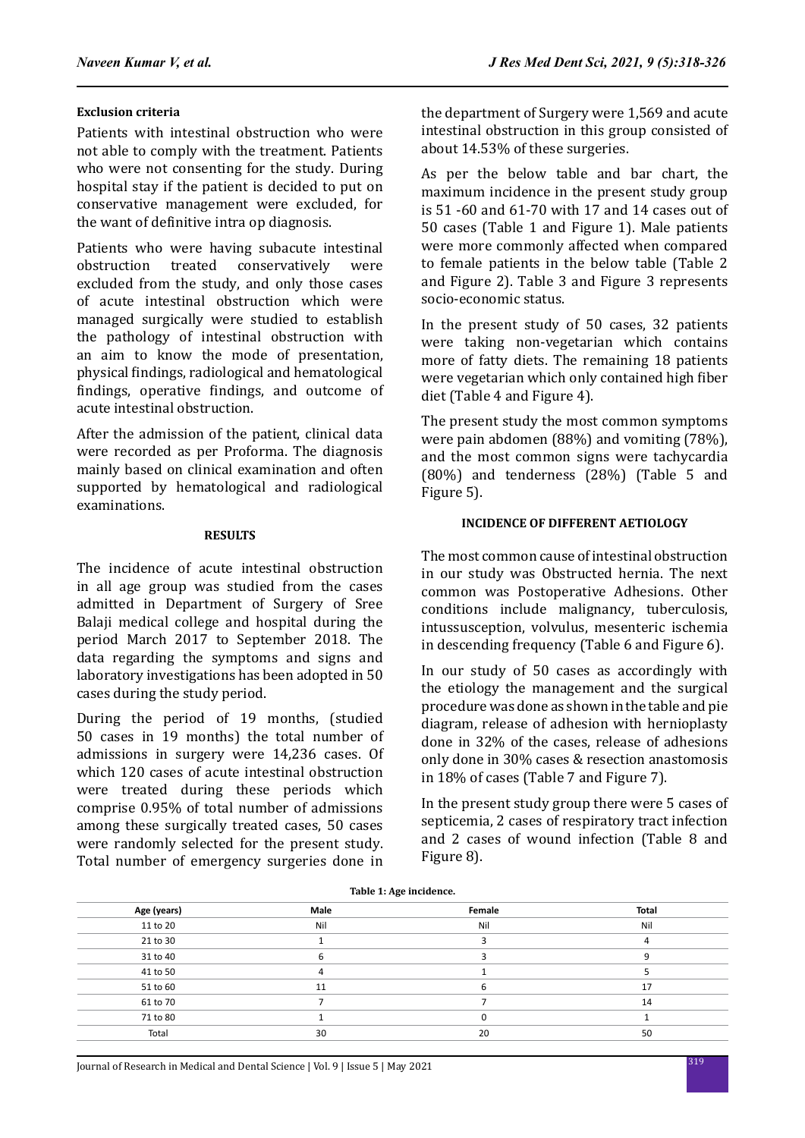### **Exclusion criteria**

Patients with intestinal obstruction who were not able to comply with the treatment. Patients who were not consenting for the study. During hospital stay if the patient is decided to put on conservative management were excluded, for the want of definitive intra op diagnosis.

Patients who were having subacute intestinal<br>obstruction treated conservatively were conservatively excluded from the study, and only those cases of acute intestinal obstruction which were managed surgically were studied to establish the pathology of intestinal obstruction with an aim to know the mode of presentation, physical findings, radiological and hematological findings, operative findings, and outcome of acute intestinal obstruction.

After the admission of the patient, clinical data were recorded as per Proforma. The diagnosis mainly based on clinical examination and often supported by hematological and radiological examinations.

### **RESULTS**

The incidence of acute intestinal obstruction in all age group was studied from the cases admitted in Department of Surgery of Sree Balaji medical college and hospital during the period March 2017 to September 2018. The data regarding the symptoms and signs and laboratory investigations has been adopted in 50 cases during the study period.

During the period of 19 months, (studied 50 cases in 19 months) the total number of admissions in surgery were 14,236 cases. Of which 120 cases of acute intestinal obstruction were treated during these periods which comprise 0.95% of total number of admissions among these surgically treated cases, 50 cases were randomly selected for the present study. Total number of emergency surgeries done in the department of Surgery were 1,569 and acute intestinal obstruction in this group consisted of about 14.53% of these surgeries.

As per the below table and bar chart, the maximum incidence in the present study group is 51 -60 and 61-70 with 17 and 14 cases out of 50 cases (Table 1 and Figure 1). Male patients were more commonly affected when compared to female patients in the below table (Table 2 and Figure 2). Table 3 and Figure 3 represents socio-economic status.

In the present study of 50 cases, 32 patients were taking non-vegetarian which contains more of fatty diets. The remaining 18 patients were vegetarian which only contained high fiber diet (Table 4 and Figure 4).

The present study the most common symptoms were pain abdomen (88%) and vomiting (78%), and the most common signs were tachycardia (80%) and tenderness (28%) (Table 5 and Figure 5).

### **INCIDENCE OF DIFFERENT AETIOLOGY**

The most common cause of intestinal obstruction in our study was Obstructed hernia. The next common was Postoperative Adhesions. Other conditions include malignancy, tuberculosis, intussusception, volvulus, mesenteric ischemia in descending frequency (Table 6 and Figure 6).

In our study of 50 cases as accordingly with the etiology the management and the surgical procedure was done as shown in the table and pie diagram, release of adhesion with hernioplasty done in 32% of the cases, release of adhesions only done in 30% cases & resection anastomosis in 18% of cases (Table 7 and Figure 7).

In the present study group there were 5 cases of septicemia, 2 cases of respiratory tract infection and 2 cases of wound infection (Table 8 and Figure 8).

| Table 1: Age incluence. |      |        |       |
|-------------------------|------|--------|-------|
| Age (years)             | Male | Female | Total |
| 11 to 20                | Nil  | Nil    | Nil   |
| 21 to 30                |      |        |       |
| 31 to 40                |      |        |       |
| 41 to 50                |      |        |       |
| 51 to 60                | 11   |        | 17    |
| 61 to 70                |      |        | 14    |
| 71 to 80                |      |        |       |
| Total                   | 30   | 20     | 50    |

**Table 1: Age incidence.**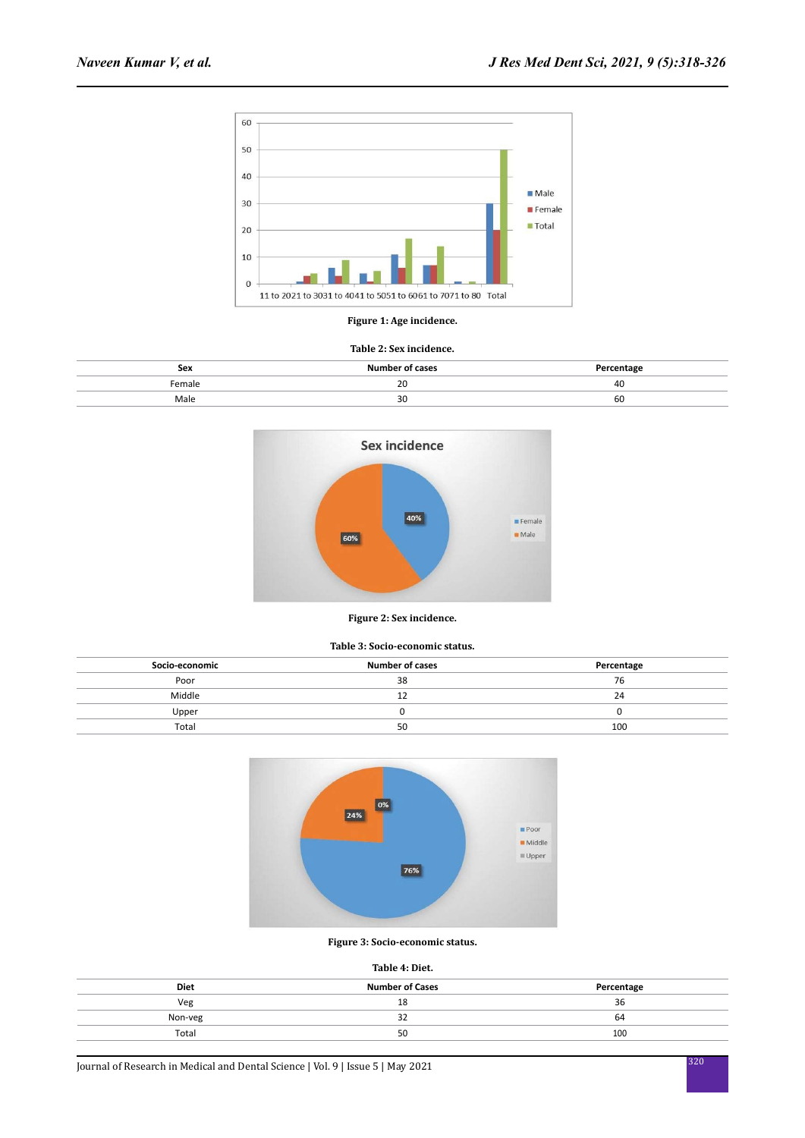

#### **Figure 1: Age incidence.**

#### **Table 2: Sex incidence.**

| Sex   | .                  | .        |
|-------|--------------------|----------|
| emale | $\mathcal{D}$<br>້ | 40<br>__ |
| Male  | 30                 | 60       |



#### **Figure 2: Sex incidence.**

#### **Table 3: Socio-economic status.**

| Socio-economic | <b>Number of cases</b> | Percentage |
|----------------|------------------------|------------|
| Poor           | 38                     | 76         |
| Middle         | ᆠ                      | 24         |
| Upper          |                        |            |
| Total          | 50                     | 100        |



#### **Figure 3: Socio-economic status.**

#### **Table 4: Diet.**

| <b>Diet</b> | <b>Number of Cases</b> | Percentage |
|-------------|------------------------|------------|
| Veg         | 18                     | 36         |
| Non-veg     | ےر                     | 64         |
| Total       | 50                     | 100        |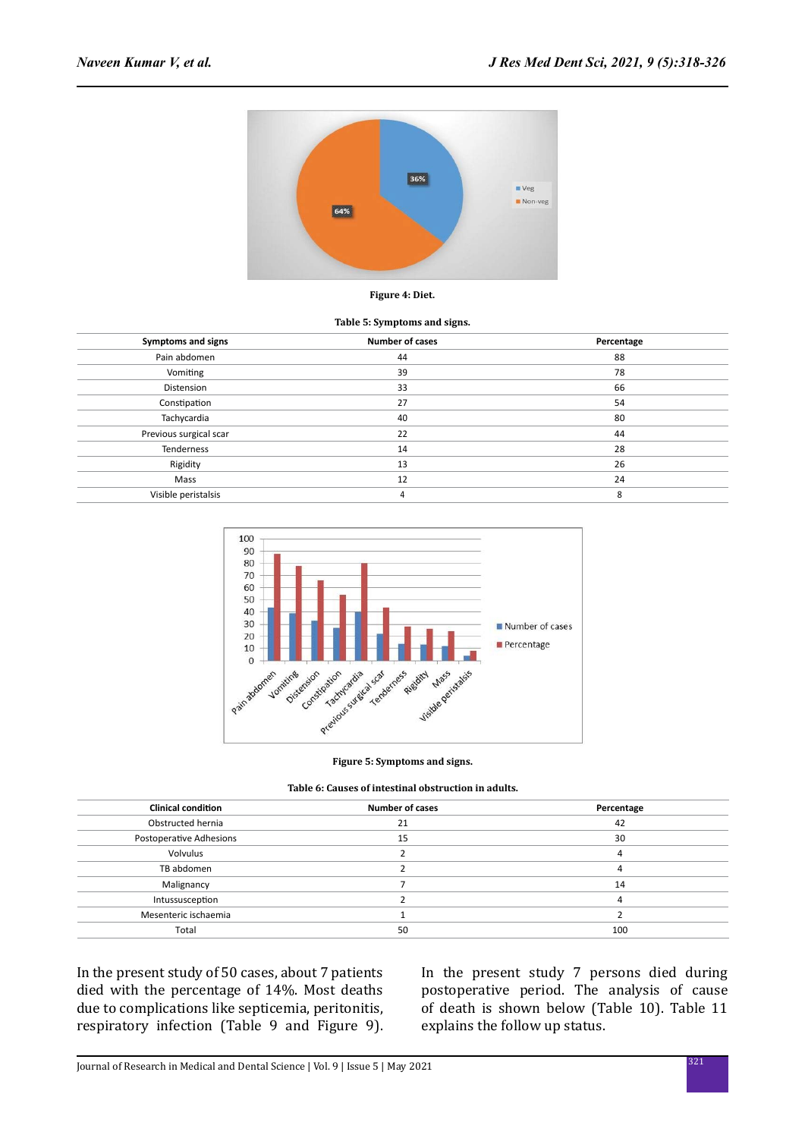

#### **Figure 4: Diet.**

#### **Table 5: Symptoms and signs.**

| Symptoms and signs     | <b>Number of cases</b> | Percentage |
|------------------------|------------------------|------------|
| Pain abdomen           | 44                     | 88         |
| Vomiting               | 39                     | 78         |
| Distension             | 33                     | 66         |
| Constipation           | 27                     | 54         |
| Tachycardia            | 40                     | 80         |
| Previous surgical scar | 22                     | 44         |
| Tenderness             | 14                     | 28         |
| Rigidity               | 13                     | 26         |
| Mass                   | 12                     | 24         |
| Visible peristalsis    | 4                      | 8          |



**Figure 5: Symptoms and signs.**

|  | Table 6: Causes of intestinal obstruction in adults. |  |
|--|------------------------------------------------------|--|
|  |                                                      |  |

| <b>Clinical condition</b> | <b>Number of cases</b> | Percentage |
|---------------------------|------------------------|------------|
| Obstructed hernia         | 21                     | 42         |
| Postoperative Adhesions   | 15                     | 30         |
| Volvulus                  |                        |            |
| TB abdomen                |                        |            |
| Malignancy                |                        | 14         |
| Intussusception           |                        |            |
| Mesenteric ischaemia      |                        |            |
| Total                     | 50                     | 100        |

In the present study of 50 cases, about 7 patients died with the percentage of 14%. Most deaths due to complications like septicemia, peritonitis, respiratory infection (Table 9 and Figure 9). In the present study 7 persons died during postoperative period. The analysis of cause of death is shown below (Table 10). Table 11 explains the follow up status.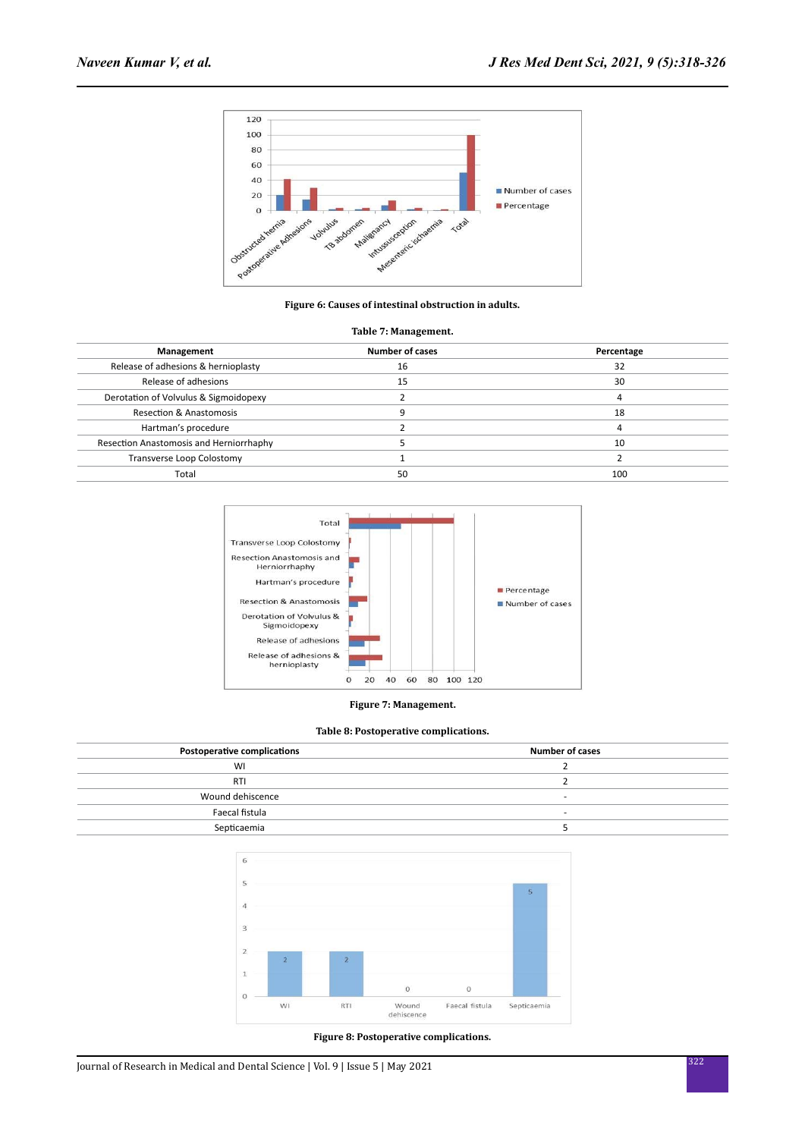

**Figure 6: Causes of intestinal obstruction in adults.**

#### **Table 7: Management.**

| Management                              | <b>Number of cases</b> | Percentage |
|-----------------------------------------|------------------------|------------|
| Release of adhesions & hernioplasty     | 16                     | 32         |
| Release of adhesions                    | 15                     | 30         |
| Derotation of Volvulus & Sigmoidopexy   |                        |            |
| <b>Resection &amp; Anastomosis</b>      |                        | 18         |
| Hartman's procedure                     |                        |            |
| Resection Anastomosis and Herniorrhaphy |                        | 10         |
| Transverse Loop Colostomy               |                        |            |
| Total                                   | 50                     | 100        |



#### **Figure 7: Management.**

#### **Table 8: Postoperative complications.**

| <b>Postoperative complications</b> | <b>Number of cases</b>   |
|------------------------------------|--------------------------|
| WI                                 |                          |
| <b>RTI</b>                         |                          |
| Wound dehiscence                   | $\sim$                   |
| Faecal fistula                     | $\overline{\phantom{a}}$ |
| Septicaemia                        |                          |
|                                    |                          |



#### **Figure 8: Postoperative complications.**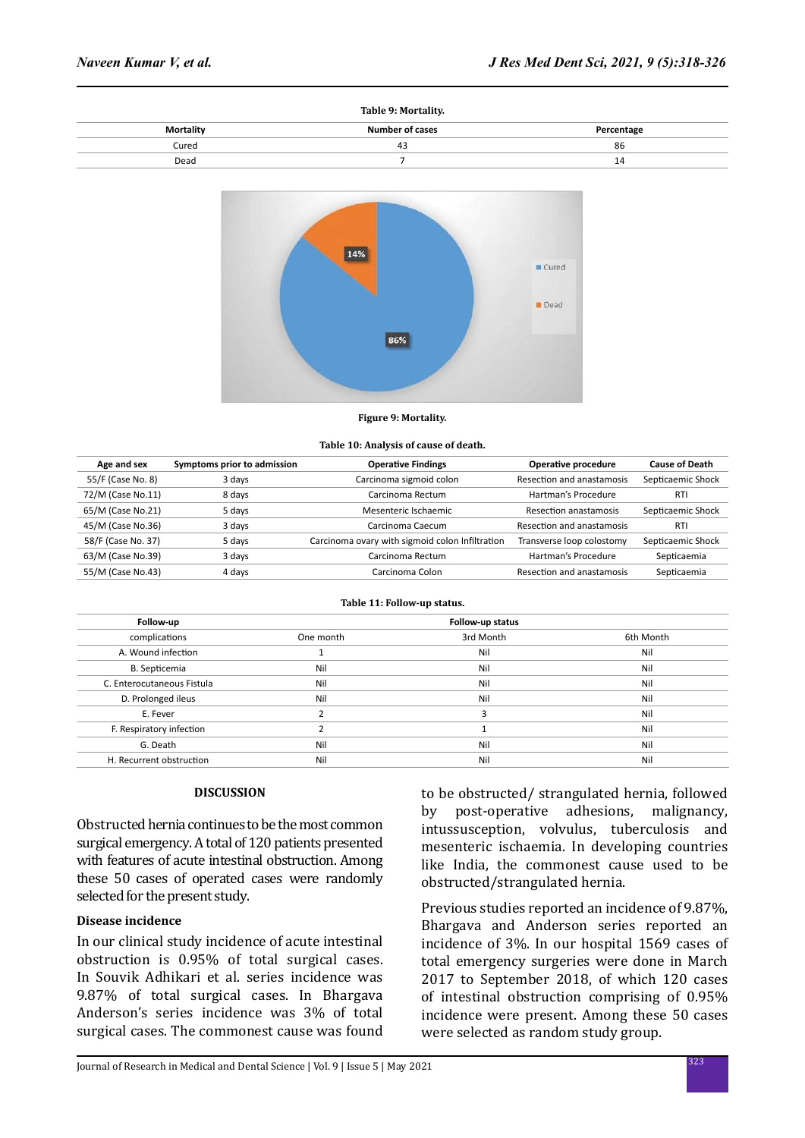| Table 9: Mortality.    |            |
|------------------------|------------|
| <b>Number of cases</b> | Percentage |
| 43                     | 86         |
|                        | 14         |
|                        |            |



#### **Figure 9: Mortality.**

#### **Table 10: Analysis of cause of death.**

| Age and sex        | Symptoms prior to admission | <b>Operative Findings</b>                       | Operative procedure       | <b>Cause of Death</b> |
|--------------------|-----------------------------|-------------------------------------------------|---------------------------|-----------------------|
| 55/F (Case No. 8)  | 3 days                      | Carcinoma sigmoid colon                         | Resection and anastamosis | Septicaemic Shock     |
| 72/M (Case No.11)  | 8 days                      | Carcinoma Rectum                                | Hartman's Procedure       | <b>RTI</b>            |
| 65/M (Case No.21)  | 5 days                      | Mesenteric Ischaemic                            | Resection anastamosis     | Septicaemic Shock     |
| 45/M (Case No.36)  | 3 days                      | Carcinoma Caecum                                | Resection and anastamosis | <b>RTI</b>            |
| 58/F (Case No. 37) | 5 days                      | Carcinoma ovary with sigmoid colon Infiltration | Transverse loop colostomy | Septicaemic Shock     |
| 63/M (Case No.39)  | 3 days                      | Carcinoma Rectum                                | Hartman's Procedure       | Septicaemia           |
| 55/M (Case No.43)  | 4 days                      | Carcinoma Colon                                 | Resection and anastamosis | Septicaemia           |

#### **Table 11: Follow-up status.**

| Follow-up                  |           | Follow-up status |           |
|----------------------------|-----------|------------------|-----------|
| complications              | One month | 3rd Month        | 6th Month |
| A. Wound infection         |           | Nil              | Nil       |
| B. Septicemia              | Nil       | Nil              | Nil       |
| C. Enterocutaneous Fistula | Nil       | Nil              | Nil       |
| D. Prolonged ileus         | Nil       | Nil              | Nil       |
| E. Fever                   |           |                  | Nil       |
| F. Respiratory infection   |           |                  | Nil       |
| G. Death                   | Nil       | Nil              | Nil       |
| H. Recurrent obstruction   | Nil       | Nil              | Nil       |

### **DISCUSSION**

Obstructed hernia continues to be the most common surgical emergency. A total of 120 patients presented with features of acute intestinal obstruction. Among these 50 cases of operated cases were randomly selected for the present study.

### **Disease incidence**

In our clinical study incidence of acute intestinal obstruction is 0.95% of total surgical cases. In Souvik Adhikari et al. series incidence was 9.87% of total surgical cases. In Bhargava Anderson's series incidence was 3% of total surgical cases. The commonest cause was found to be obstructed/ strangulated hernia, followed by post-operative adhesions, malignancy, intussusception, volvulus, tuberculosis and mesenteric ischaemia. In developing countries like India, the commonest cause used to be obstructed/strangulated hernia.

Previous studies reported an incidence of 9.87%, Bhargava and Anderson series reported an incidence of 3%. In our hospital 1569 cases of total emergency surgeries were done in March 2017 to September 2018, of which 120 cases of intestinal obstruction comprising of 0.95% incidence were present. Among these 50 cases were selected as random study group.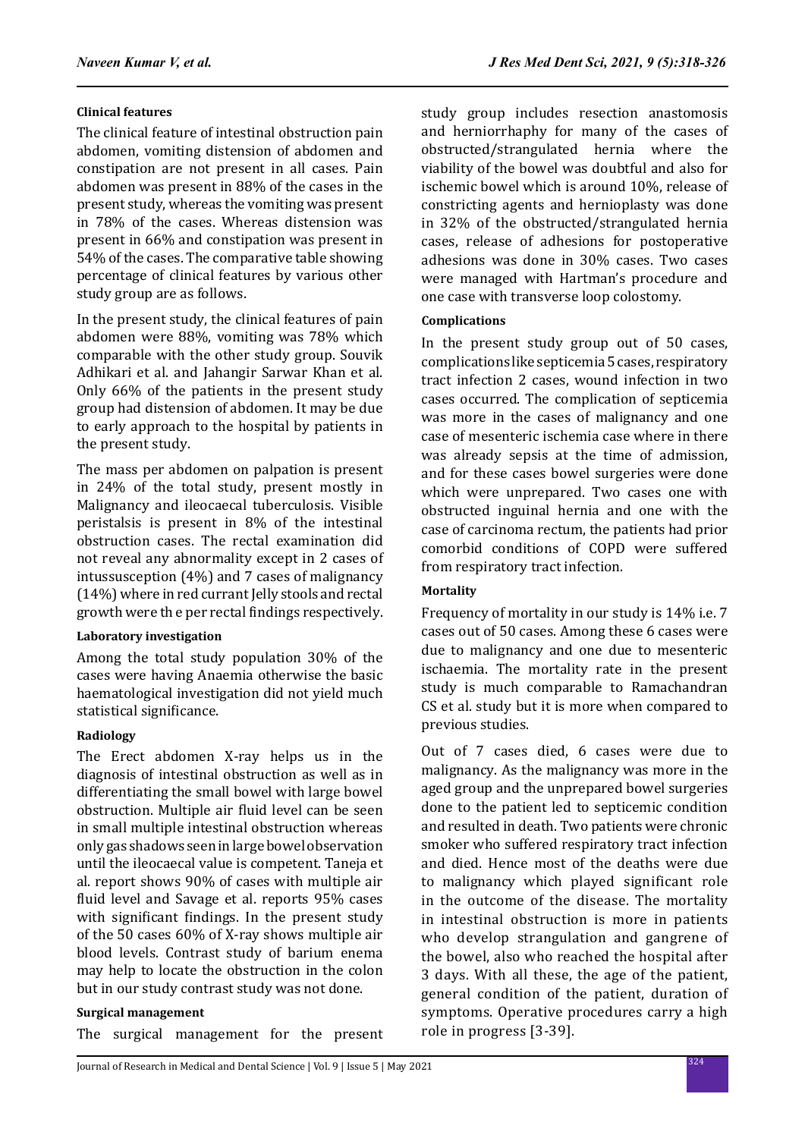# **Clinical features**

The clinical feature of intestinal obstruction pain abdomen, vomiting distension of abdomen and constipation are not present in all cases. Pain abdomen was present in 88% of the cases in the present study, whereas the vomiting was present in 78% of the cases. Whereas distension was present in 66% and constipation was present in 54% of the cases. The comparative table showing percentage of clinical features by various other study group are as follows.

In the present study, the clinical features of pain abdomen were 88%, vomiting was 78% which comparable with the other study group. Souvik Adhikari et al. and Jahangir Sarwar Khan et al. Only 66% of the patients in the present study group had distension of abdomen. It may be due to early approach to the hospital by patients in the present study.

The mass per abdomen on palpation is present in 24% of the total study, present mostly in Malignancy and ileocaecal tuberculosis. Visible peristalsis is present in 8% of the intestinal obstruction cases. The rectal examination did not reveal any abnormality except in 2 cases of intussusception (4%) and 7 cases of malignancy (14%) where in red currant Jelly stools and rectal growth were th e per rectal findings respectively.

# **Laboratory investigation**

Among the total study population 30% of the cases were having Anaemia otherwise the basic haematological investigation did not yield much statistical significance.

# **Radiology**

The Erect abdomen X-ray helps us in the diagnosis of intestinal obstruction as well as in differentiating the small bowel with large bowel obstruction. Multiple air fluid level can be seen in small multiple intestinal obstruction whereas only gas shadows seen in large bowel observation until the ileocaecal value is competent. Taneja et al. report shows 90% of cases with multiple air fluid level and Savage et al. reports 95% cases with significant findings. In the present study of the 50 cases 60% of X-ray shows multiple air blood levels. Contrast study of barium enema may help to locate the obstruction in the colon but in our study contrast study was not done.

# **Surgical management**

The surgical management for the present

study group includes resection anastomosis and herniorrhaphy for many of the cases of obstructed/strangulated hernia where the viability of the bowel was doubtful and also for ischemic bowel which is around 10%, release of constricting agents and hernioplasty was done in 32% of the obstructed/strangulated hernia cases, release of adhesions for postoperative adhesions was done in 30% cases. Two cases were managed with Hartman's procedure and one case with transverse loop colostomy.

# **Complications**

In the present study group out of 50 cases, complications like septicemia 5 cases, respiratory tract infection 2 cases, wound infection in two cases occurred. The complication of septicemia was more in the cases of malignancy and one case of mesenteric ischemia case where in there was already sepsis at the time of admission, and for these cases bowel surgeries were done which were unprepared. Two cases one with obstructed inguinal hernia and one with the case of carcinoma rectum, the patients had prior comorbid conditions of COPD were suffered from respiratory tract infection.

# **Mortality**

Frequency of mortality in our study is 14% i.e. 7 cases out of 50 cases. Among these 6 cases were due to malignancy and one due to mesenteric ischaemia. The mortality rate in the present study is much comparable to Ramachandran CS et al. study but it is more when compared to previous studies.

Out of 7 cases died, 6 cases were due to malignancy. As the malignancy was more in the aged group and the unprepared bowel surgeries done to the patient led to septicemic condition and resulted in death. Two patients were chronic smoker who suffered respiratory tract infection and died. Hence most of the deaths were due to malignancy which played significant role in the outcome of the disease. The mortality in intestinal obstruction is more in patients who develop strangulation and gangrene of the bowel, also who reached the hospital after 3 days. With all these, the age of the patient, general condition of the patient, duration of symptoms. Operative procedures carry a high role in progress [3-39].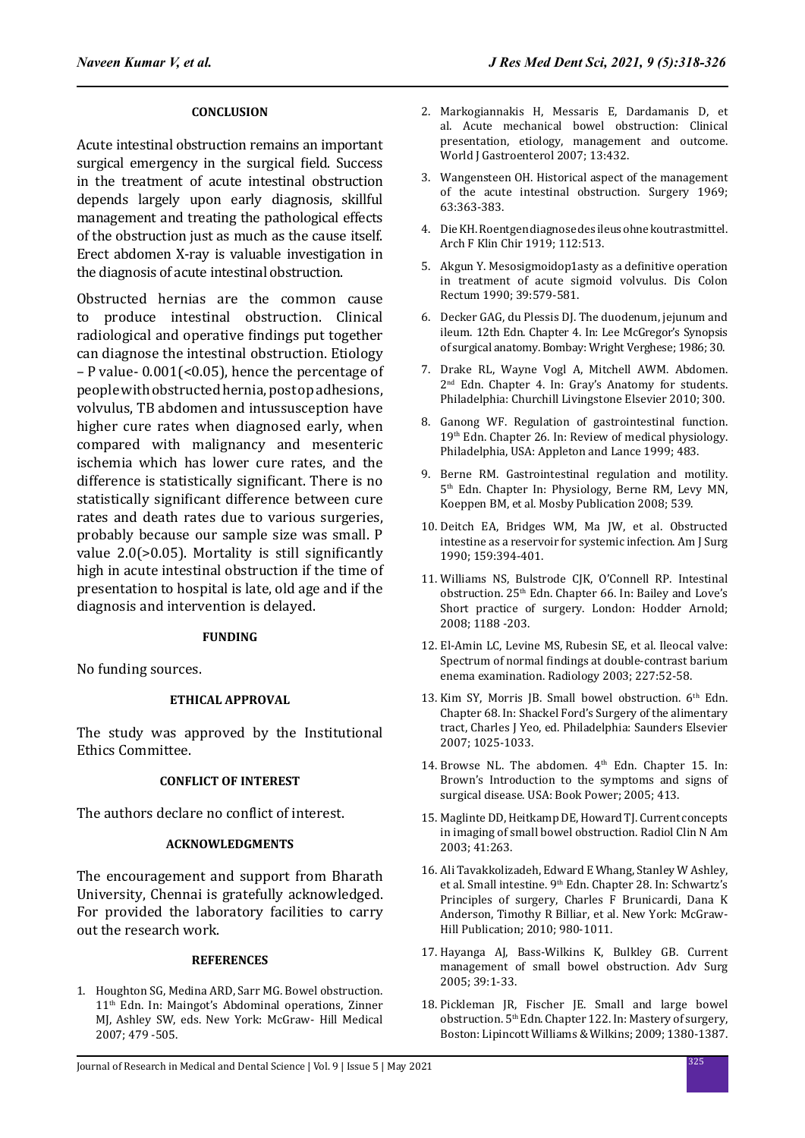### **CONCLUSION**

Acute intestinal obstruction remains an important surgical emergency in the surgical field. Success in the treatment of acute intestinal obstruction depends largely upon early diagnosis, skillful management and treating the pathological effects of the obstruction just as much as the cause itself. Erect abdomen X-ray is valuable investigation in the diagnosis of acute intestinal obstruction.

Obstructed hernias are the common cause to produce intestinal obstruction. Clinical radiological and operative findings put together can diagnose the intestinal obstruction. Etiology – P value- 0.001(<0.05), hence the percentage of people with obstructed hernia, post op adhesions, volvulus, TB abdomen and intussusception have higher cure rates when diagnosed early, when compared with malignancy and mesenteric ischemia which has lower cure rates, and the difference is statistically significant. There is no statistically significant difference between cure rates and death rates due to various surgeries, probably because our sample size was small. P value 2.0(>0.05). Mortality is still significantly high in acute intestinal obstruction if the time of presentation to hospital is late, old age and if the diagnosis and intervention is delayed.

### **FUNDING**

No funding sources.

### **ETHICAL APPROVAL**

The study was approved by the Institutional Ethics Committee.

### **CONFLICT OF INTEREST**

The authors declare no conflict of interest.

### **ACKNOWLEDGMENTS**

The encouragement and support from Bharath University, Chennai is gratefully acknowledged. For provided the laboratory facilities to carry out the research work.

### **REFERENCES**

1. Houghton SG, Medina ARD, Sarr MG. Bowel obstruction. 11th Edn. In: Maingot's Abdominal operations, Zinner MJ, Ashley SW, eds. New York: McGraw- Hill Medical 2007; 479 -505.

- 2. Markogiannakis H, Messaris E, Dardamanis D, et al. Acute mechanical bowel obstruction: Clinical presentation, etiology, management and outcome. World J Gastroenterol 2007; 13:432.
- 3. Wangensteen OH. Historical aspect of the management of the acute intestinal obstruction. Surgery 1969; 63:363-383.
- 4. Die KH. Roentgen diagnose des ileus ohne koutrastmittel. Arch F Klin Chir 1919; 112:513.
- 5. Akgun Y. Mesosigmoidop1asty as a definitive operation in treatment of acute sigmoid volvulus. Dis Colon Rectum 1990; 39:579-581.
- 6. Decker GAG, du Plessis DJ. The duodenum, jejunum and ileum. 12th Edn. Chapter 4. In: Lee McGregor's Synopsis of surgical anatomy. Bombay: Wright Verghese; 1986; 30.
- 7. Drake RL, Wayne Vogl A, Mitchell AWM. Abdomen. 2nd Edn. Chapter 4. In: Gray's Anatomy for students. Philadelphia: Churchill Livingstone Elsevier 2010; 300.
- 8. Ganong WF. Regulation of gastrointestinal function. 19th Edn. Chapter 26. In: Review of medical physiology. Philadelphia, USA: Appleton and Lance 1999; 483.
- 9. Berne RM. Gastrointestinal regulation and motility. 5th Edn. Chapter In: Physiology, Berne RM, Levy MN, Koeppen BM, et al. Mosby Publication 2008; 539.
- 10. Deitch EA, Bridges WM, Ma JW, et al. Obstructed intestine as a reservoir for systemic infection. Am J Surg 1990; 159:394-401.
- 11. Williams NS, Bulstrode CJK, O'Connell RP. Intestinal obstruction. 25th Edn. Chapter 66. In: Bailey and Love's Short practice of surgery. London: Hodder Arnold; 2008; 1188 -203.
- 12. El-Amin LC, Levine MS, Rubesin SE, et al. Ileocal valve: Spectrum of normal findings at double-contrast barium enema examination. Radiology 2003; 227:52-58.
- 13. Kim SY, Morris JB. Small bowel obstruction. 6<sup>th</sup> Edn. Chapter 68. In: Shackel Ford's Surgery of the alimentary tract, Charles J Yeo, ed. Philadelphia: Saunders Elsevier 2007; 1025-1033.
- 14. Browse NL. The abdomen. 4<sup>th</sup> Edn. Chapter 15. In: Brown's Introduction to the symptoms and signs of surgical disease. USA: Book Power; 2005; 413.
- 15. Maglinte DD, Heitkamp DE, Howard TJ. Current concepts in imaging of small bowel obstruction. Radiol Clin N Am 2003; 41:263.
- 16. Ali Tavakkolizadeh, Edward E Whang, Stanley W Ashley, et al. Small intestine. 9<sup>th</sup> Edn. Chapter 28. In: Schwartz's Principles of surgery, Charles F Brunicardi, Dana K Anderson, Timothy R Billiar, et al. New York: McGraw-Hill Publication; 2010; 980-1011.
- 17. Hayanga AJ, Bass-Wilkins K, Bulkley GB. Current management of small bowel obstruction. Adv Surg 2005; 39:1-33.
- 18. Pickleman JR, Fischer JE. Small and large bowel obstruction. 5<sup>th</sup> Edn. Chapter 122. In: Mastery of surgery, Boston: Lipincott Williams & Wilkins; 2009; 1380-1387.